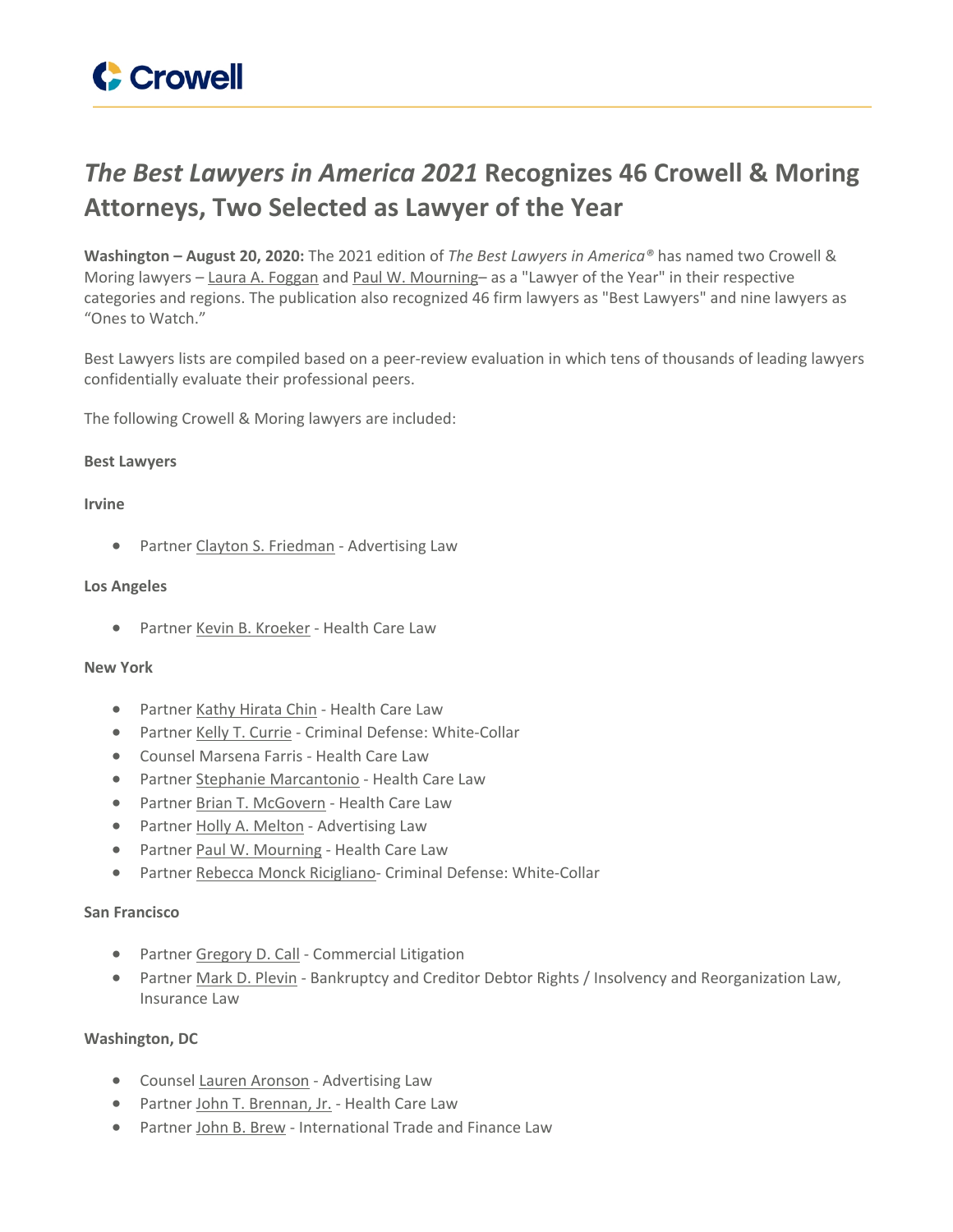# *The Best Lawyers in America 2021* **Recognizes 46 Crowell & Moring Attorneys, Two Selected as Lawyer of the Year**

**Washington – August 20, 2020:** The 2021 edition of *The Best Lawyers in America®* has named two Crowell & Moring lawyers – Laura A. [Foggan](https://www.crowell.com/professionals/Laura-Foggan) and Paul W. [Mourning–](https://www.crowell.com/professionals/Paul-Mourning) as a "Lawyer of the Year" in their respective categories and regions. The publication also recognized 46 firm lawyers as "Best Lawyers" and nine lawyers as "Ones to Watch."

Best Lawyers lists are compiled based on a peer-review evaluation in which tens of thousands of leading lawyers confidentially evaluate their professional peers.

The following Crowell & Moring lawyers are included:

#### **Best Lawyers**

#### **Irvine**

• Partner Clayton S. [Friedman](https://www.crowell.com/professionals/Clayton-Friedman) - Advertising Law

#### **Los Angeles**

Partner Kevin B. [Kroeker](https://www.crowell.com/professionals/kevin-kroeker) - Health Care Law

## **New York**

- Partner Kathy [Hirata](https://www.crowell.com/professionals/Kathy-Hirata-Chin) Chin Health Care Law
- Partner Kelly T. [Currie](https://www.crowell.com/professionals/Kelly-Currie) Criminal Defense: White-Collar
- Counsel Marsena Farris Health Care Law
- Partner Stephanie [Marcantonio](https://www.crowell.com/professionals/Stephanie-Marcantonio) Health Care Law
- Partner Brian T. [McGovern](https://www.crowell.com/Professionals/Brian-McGovern) Health Care Law
- Partner Holly A. [Melton](https://www.crowell.com/professionals/Holly-Melton) Advertising Law
- Partner Paul W. [Mourning](https://www.crowell.com/professionals/Paul-Mourning) Health Care Law
- Partner Rebecca Monck [Ricigliano-](https://www.crowell.com/professionals/Rebecca-Ricigliano) Criminal Defense: White-Collar

## **San Francisco**

- Partner [Gregory](https://www.crowell.com/professionals/Gregory-Call) D. Call Commercial Litigation
- Partner Mark D. [Plevin](https://www.crowell.com/professionals/Mark-Plevin) Bankruptcy and Creditor Debtor Rights / Insolvency and Reorganization Law, Insurance Law

## **Washington, DC**

- Counsel Lauren [Aronson](https://www.crowell.com/professionals/Lauren-Aronson) Advertising Law
- Partner John T. [Brennan,](https://www.crowell.com/professionals/John-Brennan) Jr. Health Care Law
- Partner John B. [Brew](https://www.crowell.com/professionals/John-Brew) International Trade and Finance Law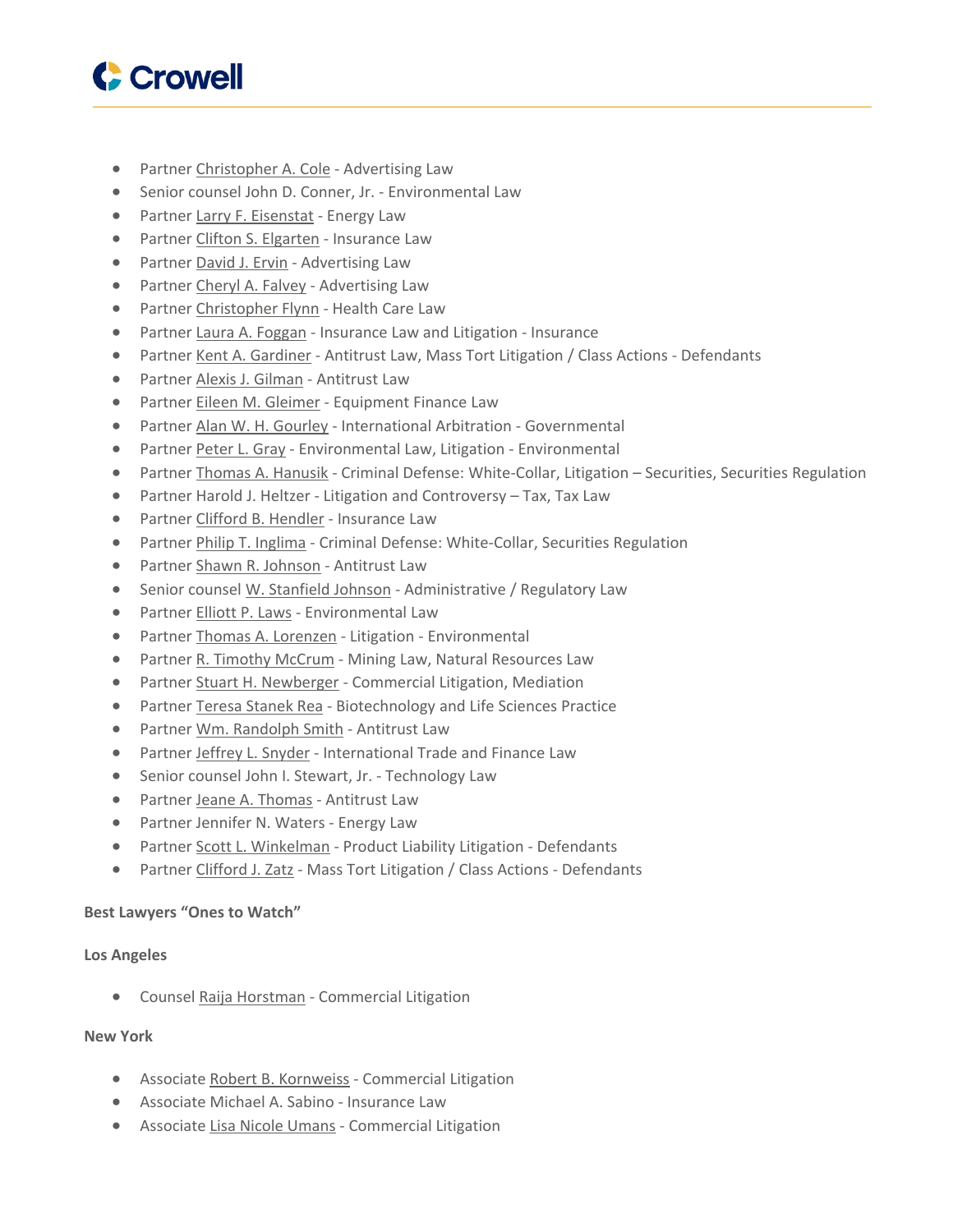

- Partner [Christopher](https://www.crowell.com/professionals/christopher-cole) A. Cole Advertising Law
- Senior counsel John D. Conner, Jr. Environmental Law
- Partner Larry F. [Eisenstat](https://www.crowell.com/professionals/larry-eisenstat) Energy Law
- Partner Clifton S. [Elgarten](https://www.crowell.com/professionals/Clifton-Elgarten) Insurance Law
- Partner [David](https://www.crowell.com/professionals/David-Ervin) J. Ervin Advertising Law
- Partner [Cheryl](https://www.crowell.com/professionals/cheryl-falvey) A. Falvey Advertising Law
- Partner [Christopher](https://www.crowell.com/professionals/Christopher-Flynn) Flynn Health Care Law
- Partner Laura A. [Foggan](https://www.crowell.com/professionals/Laura-Foggan) Insurance Law and Litigation Insurance
- Partner Kent A. [Gardiner](https://www.crowell.com/professionals/Kent-Gardiner) Antitrust Law, Mass Tort Litigation / Class Actions Defendants
- Partner Alexis J. [Gilman](https://www.crowell.com/professionals/Alexis-Gilman) Antitrust Law
- Partner Eileen M. [Gleimer](https://www.crowell.com/professionals/Eileen-Gleimer) Equipment Finance Law
- Partner Alan W. H. [Gourley](https://www.crowell.com/professionals/Alan-Gourley) International Arbitration Governmental
- Partner [Peter](https://www.crowell.com/professionals/Peter-Gray) L. Gray Environmental Law, Litigation Environmental
- Partner Thomas A. [Hanusik](https://www.crowell.com/professionals/Thomas-Hanusik) Criminal Defense: White-Collar, Litigation Securities, Securities Regulation
- Partner Harold J. Heltzer Litigation and Controversy Tax, Tax Law
- Partner Clifford B. [Hendler](https://www.crowell.com/professionals/Clifford-Hendler) Insurance Law
- Partner Philip T. [Inglima](https://www.crowell.com/professionals/Philip-Inglima) Criminal Defense: White-Collar, Securities Regulation
- Partner Shawn R. [Johnson](https://www.crowell.com/professionals/Shawn-Johnson) Antitrust Law
- Senior counsel W. [Stanfield](https://www.crowell.com/professionals/W-Stanfield-Johnson) Johnson Administrative / Regulatory Law
- Partner [Elliott](https://www.crowell.com/professionals/Elliott-Laws) P. Laws Environmental Law
- Partner Thomas A. [Lorenzen](https://www.crowell.com/professionals/Thomas-Lorenzen) Litigation Environmental
- Partner R. Timothy [McCrum](https://www.crowell.com/professionals/R-Timothy-McCrum) Mining Law, Natural Resources Law
- Partner Stuart H. [Newberger](https://www.crowell.com/professionals/Stuart-Newberger) Commercial Litigation, Mediation
- Partner Teresa [Stanek](https://www.crowell.com/Professionals/terry-rea) Rea Biotechnology and Life Sciences Practice
- Partner Wm. [Randolph](https://www.crowell.com/professionals/Wm-Randolph-Smith) Smith Antitrust Law
- Partner Jeffrey L. [Snyder](https://www.crowell.com/professionals/Jeffrey-Snyder) International Trade and Finance Law
- Senior counsel John I. Stewart, Jr. Technology Law
- Partner Jeane A. [Thomas](https://www.crowell.com/professionals/Jeane-Thomas) Antitrust Law
- Partner Jennifer N. Waters Energy Law
- Partner Scott L. [Winkelman](https://www.crowell.com/professionals/Scott-Winkelman) Product Liability Litigation Defendants
- Partner [Clifford](https://www.crowell.com/professionals/Clifford-Zatz) J. Zatz Mass Tort Litigation / Class Actions Defendants

## **Best Lawyers "Ones to Watch"**

## **Los Angeles**

Counsel Raija [Horstman](https://www.crowell.com/professionals/Raija-Horstman) - Commercial Litigation

## **New York**

- Associate Robert B. [Kornweiss](https://www.crowell.com/professionals/Robert-Kornweiss) Commercial Litigation
- Associate Michael A. Sabino Insurance Law
- Associate Lisa Nicole [Umans](https://www.crowell.com/Professionals/Lisa-Umans) Commercial Litigation